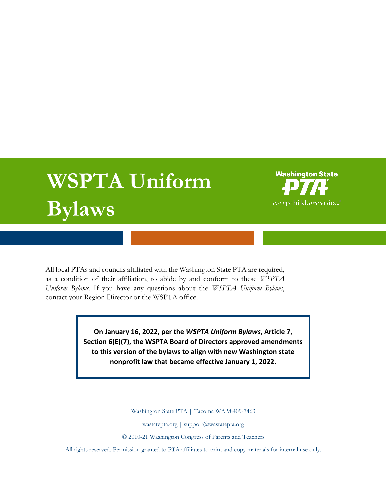# **WSPTA Uniform Bylaws**



All local PTAs and councils affiliated with the Washington State PTA are required, as a condition of their affiliation, to abide by and conform to these *WSPTA Uniform Bylaws*. If you have any questions about the *WSPTA Uniform Bylaws*, contact your Region Director or the WSPTA office.

> **On January 16, 2022, per the** *WSPTA Uniform Bylaws***, Article 7, Section 6(E)(7), the WSPTA Board of Directors approved amendments to this version of the bylaws to align with new Washington state nonprofit law that became effective January 1, 2022.**

> > Washington State PTA | Tacoma WA 98409-7463

wastatepta.org | support@wastatepta.org

© 2010-21 Washington Congress of Parents and Teachers

All rights reserved. Permission granted to PTA affiliates to print and copy materials for internal use only.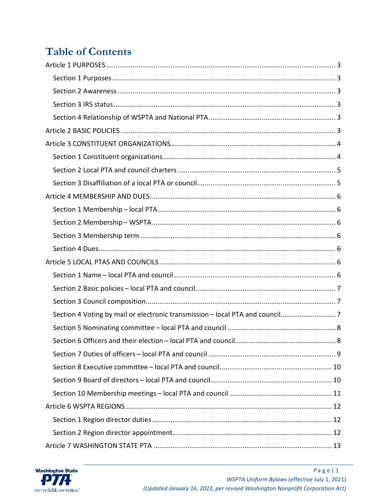# **Table of Contents**

| Section 4 Voting by mail or electronic transmission - local PTA and council |
|-----------------------------------------------------------------------------|
|                                                                             |
|                                                                             |
|                                                                             |
|                                                                             |
|                                                                             |
|                                                                             |
|                                                                             |
|                                                                             |
|                                                                             |
|                                                                             |

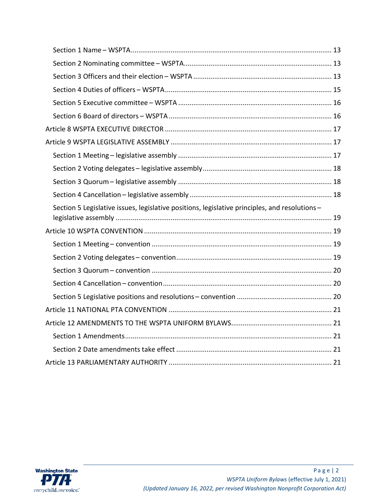| Section 5 Legislative issues, legislative positions, legislative principles, and resolutions- |  |
|-----------------------------------------------------------------------------------------------|--|
|                                                                                               |  |
|                                                                                               |  |
|                                                                                               |  |
|                                                                                               |  |
|                                                                                               |  |
|                                                                                               |  |
|                                                                                               |  |
|                                                                                               |  |
|                                                                                               |  |
|                                                                                               |  |
|                                                                                               |  |
|                                                                                               |  |

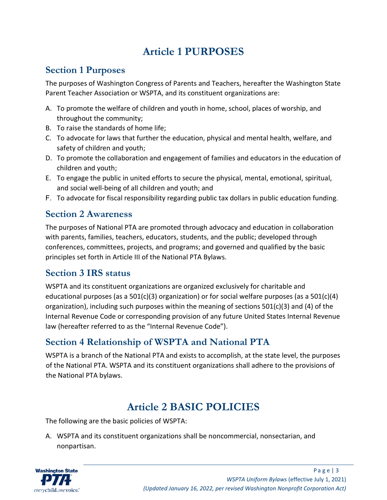# **Article 1 PURPOSES**

#### <span id="page-3-1"></span><span id="page-3-0"></span>**Section 1 Purposes**

The purposes of Washington Congress of Parents and Teachers, hereafter the Washington State Parent Teacher Association or WSPTA, and its constituent organizations are:

- A. To promote the welfare of children and youth in home, school, places of worship, and throughout the community;
- B. To raise the standards of home life;
- C. To advocate for laws that further the education, physical and mental health, welfare, and safety of children and youth;
- D. To promote the collaboration and engagement of families and educators in the education of children and youth;
- E. To engage the public in united efforts to secure the physical, mental, emotional, spiritual, and social well-being of all children and youth; and
- F. To advocate for fiscal responsibility regarding public tax dollars in public education funding.

#### <span id="page-3-2"></span>**Section 2 Awareness**

The purposes of National PTA are promoted through advocacy and education in collaboration with parents, families, teachers, educators, students, and the public; developed through conferences, committees, projects, and programs; and governed and qualified by the basic principles set forth in Article III of the National PTA Bylaws.

#### <span id="page-3-3"></span>**Section 3 IRS status**

WSPTA and its constituent organizations are organized exclusively for charitable and educational purposes (as a 501(c)(3) organization) or for social welfare purposes (as a 501(c)(4) organization), including such purposes within the meaning of sections 501(c)(3) and (4) of the Internal Revenue Code or corresponding provision of any future United States Internal Revenue law (hereafter referred to as the "Internal Revenue Code").

## <span id="page-3-4"></span>**Section 4 Relationship of WSPTA and National PTA**

WSPTA is a branch of the National PTA and exists to accomplish, at the state level, the purposes of the National PTA. WSPTA and its constituent organizations shall adhere to the provisions of the National PTA bylaws.

# **Article 2 BASIC POLICIES**

<span id="page-3-5"></span>The following are the basic policies of WSPTA:

A. WSPTA and its constituent organizations shall be noncommercial, nonsectarian, and nonpartisan.

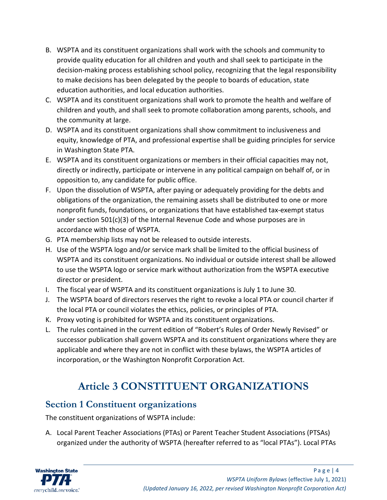- B. WSPTA and its constituent organizations shall work with the schools and community to provide quality education for all children and youth and shall seek to participate in the decision-making process establishing school policy, recognizing that the legal responsibility to make decisions has been delegated by the people to boards of education, state education authorities, and local education authorities.
- C. WSPTA and its constituent organizations shall work to promote the health and welfare of children and youth, and shall seek to promote collaboration among parents, schools, and the community at large.
- D. WSPTA and its constituent organizations shall show commitment to inclusiveness and equity, knowledge of PTA, and professional expertise shall be guiding principles for service in Washington State PTA.
- E. WSPTA and its constituent organizations or members in their official capacities may not, directly or indirectly, participate or intervene in any political campaign on behalf of, or in opposition to, any candidate for public office.
- F. Upon the dissolution of WSPTA, after paying or adequately providing for the debts and obligations of the organization, the remaining assets shall be distributed to one or more nonprofit funds, foundations, or organizations that have established tax-exempt status under section 501(c)(3) of the Internal Revenue Code and whose purposes are in accordance with those of WSPTA.
- G. PTA membership lists may not be released to outside interests.
- H. Use of the WSPTA logo and/or service mark shall be limited to the official business of WSPTA and its constituent organizations. No individual or outside interest shall be allowed to use the WSPTA logo or service mark without authorization from the WSPTA executive director or president.
- I. The fiscal year of WSPTA and its constituent organizations is July 1 to June 30.
- J. The WSPTA board of directors reserves the right to revoke a local PTA or council charter if the local PTA or council violates the ethics, policies, or principles of PTA.
- K. Proxy voting is prohibited for WSPTA and its constituent organizations.
- L. The rules contained in the current edition of "Robert's Rules of Order Newly Revised" or successor publication shall govern WSPTA and its constituent organizations where they are applicable and where they are not in conflict with these bylaws, the WSPTA articles of incorporation, or the Washington Nonprofit Corporation Act.

# **Article 3 CONSTITUENT ORGANIZATIONS**

#### <span id="page-4-1"></span><span id="page-4-0"></span>**Section 1 Constituent organizations**

The constituent organizations of WSPTA include:

A. Local Parent Teacher Associations (PTAs) or Parent Teacher Student Associations (PTSAs) organized under the authority of WSPTA (hereafter referred to as "local PTAs"). Local PTAs

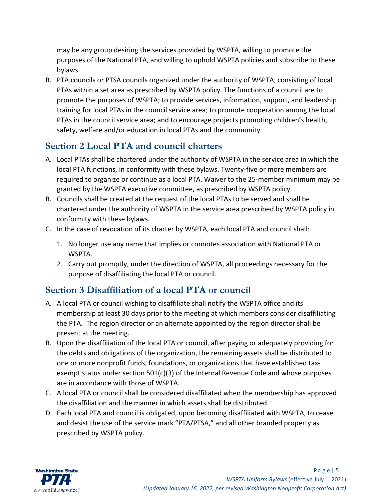may be any group desiring the services provided by WSPTA, willing to promote the purposes of the National PTA, and willing to uphold WSPTA policies and subscribe to these bylaws.

B. PTA councils or PTSA councils organized under the authority of WSPTA, consisting of local PTAs within a set area as prescribed by WSPTA policy. The functions of a council are to promote the purposes of WSPTA; to provide services, information, support, and leadership training for local PTAs in the council service area; to promote cooperation among the local PTAs in the council service area; and to encourage projects promoting children's health, safety, welfare and/or education in local PTAs and the community.

## <span id="page-5-0"></span>**Section 2 Local PTA and council charters**

- A. Local PTAs shall be chartered under the authority of WSPTA in the service area in which the local PTA functions, in conformity with these bylaws. Twenty-five or more members are required to organize or continue as a local PTA. Waiver to the 25-member minimum may be granted by the WSPTA executive committee, as prescribed by WSPTA policy.
- B. Councils shall be created at the request of the local PTAs to be served and shall be chartered under the authority of WSPTA in the service area prescribed by WSPTA policy in conformity with these bylaws.
- C. In the case of revocation of its charter by WSPTA, each local PTA and council shall:
	- 1. No longer use any name that implies or connotes association with National PTA or WSPTA.
	- 2. Carry out promptly, under the direction of WSPTA, all proceedings necessary for the purpose of disaffiliating the local PTA or council.

#### <span id="page-5-1"></span>**Section 3 Disaffiliation of a local PTA or council**

- A. A local PTA or council wishing to disaffiliate shall notify the WSPTA office and its membership at least 30 days prior to the meeting at which members consider disaffiliating the PTA. The region director or an alternate appointed by the region director shall be present at the meeting.
- B. Upon the disaffiliation of the local PTA or council, after paying or adequately providing for the debts and obligations of the organization, the remaining assets shall be distributed to one or more nonprofit funds, foundations, or organizations that have established taxexempt status under section  $501(c)(3)$  of the Internal Revenue Code and whose purposes are in accordance with those of WSPTA.
- C. A local PTA or council shall be considered disaffiliated when the membership has approved the disaffiliation and the manner in which assets shall be distributed.
- D. Each local PTA and council is obligated, upon becoming disaffiliated with WSPTA, to cease and desist the use of the service mark "PTA/PTSA," and all other branded property as prescribed by WSPTA policy.

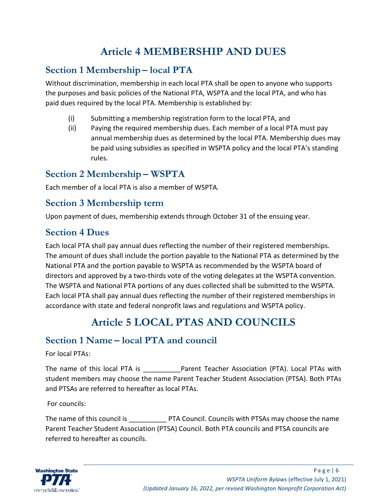# **Article 4 MEMBERSHIP AND DUES**

#### <span id="page-6-1"></span><span id="page-6-0"></span>**Section 1 Membership – local PTA**

Without discrimination, membership in each local PTA shall be open to anyone who supports the purposes and basic policies of the National PTA, WSPTA and the local PTA, and who has paid dues required by the local PTA. Membership is established by:

- (i) Submitting a membership registration form to the local PTA, and
- (ii) Paying the required membership dues. Each member of a local PTA must pay annual membership dues as determined by the local PTA. Membership dues may be paid using subsidies as specified in WSPTA policy and the local PTA's standing rules.

#### <span id="page-6-2"></span>**Section 2 Membership – WSPTA**

Each member of a local PTA is also a member of WSPTA.

#### <span id="page-6-3"></span>**Section 3 Membership term**

Upon payment of dues, membership extends through October 31 of the ensuing year.

## <span id="page-6-4"></span>**Section 4 Dues**

Each local PTA shall pay annual dues reflecting the number of their registered memberships. The amount of dues shall include the portion payable to the National PTA as determined by the National PTA and the portion payable to WSPTA as recommended by the WSPTA board of directors and approved by a two-thirds vote of the voting delegates at the WSPTA convention. The WSPTA and National PTA portions of any dues collected shall be submitted to the WSPTA. Each local PTA shall pay annual dues reflecting the number of their registered memberships in accordance with state and federal nonprofit laws and regulations and WSPTA policy.

# **Article 5 LOCAL PTAS AND COUNCILS**

## <span id="page-6-6"></span><span id="page-6-5"></span>**Section 1 Name – local PTA and council**

For local PTAs:

The name of this local PTA is **Example 2** Parent Teacher Association (PTA). Local PTAs with student members may choose the name Parent Teacher Student Association (PTSA). Both PTAs and PTSAs are referred to hereafter as local PTAs.

For councils:

The name of this council is **EXECUTA** PTA Council. Councils with PTSAs may choose the name Parent Teacher Student Association (PTSA) Council. Both PTA councils and PTSA councils are referred to hereafter as councils.

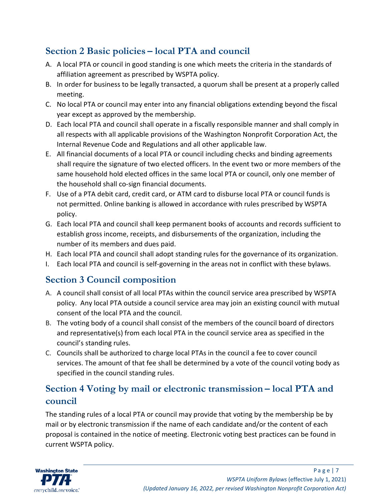## <span id="page-7-0"></span>**Section 2 Basic policies – local PTA and council**

- A. A local PTA or council in good standing is one which meets the criteria in the standards of affiliation agreement as prescribed by WSPTA policy.
- B. In order for business to be legally transacted, a quorum shall be present at a properly called meeting.
- C. No local PTA or council may enter into any financial obligations extending beyond the fiscal year except as approved by the membership.
- D. Each local PTA and council shall operate in a fiscally responsible manner and shall comply in all respects with all applicable provisions of the Washington Nonprofit Corporation Act, the Internal Revenue Code and Regulations and all other applicable law.
- E. All financial documents of a local PTA or council including checks and binding agreements shall require the signature of two elected officers. In the event two or more members of the same household hold elected offices in the same local PTA or council, only one member of the household shall co-sign financial documents.
- F. Use of a PTA debit card, credit card, or ATM card to disburse local PTA or council funds is not permitted. Online banking is allowed in accordance with rules prescribed by WSPTA policy.
- G. Each local PTA and council shall keep permanent books of accounts and records sufficient to establish gross income, receipts, and disbursements of the organization, including the number of its members and dues paid.
- H. Each local PTA and council shall adopt standing rules for the governance of its organization.
- I. Each local PTA and council is self-governing in the areas not in conflict with these bylaws.

## <span id="page-7-1"></span>**Section 3 Council composition**

- A. A council shall consist of all local PTAs within the council service area prescribed by WSPTA policy. Any local PTA outside a council service area may join an existing council with mutual consent of the local PTA and the council.
- B. The voting body of a council shall consist of the members of the council board of directors and representative(s) from each local PTA in the council service area as specified in the council's standing rules.
- C. Councils shall be authorized to charge local PTAs in the council a fee to cover council services. The amount of that fee shall be determined by a vote of the council voting body as specified in the council standing rules.

## <span id="page-7-2"></span>**Section 4 Voting by mail or electronic transmission – local PTA and council**

The standing rules of a local PTA or council may provide that voting by the membership be by mail or by electronic transmission if the name of each candidate and/or the content of each proposal is contained in the notice of meeting. Electronic voting best practices can be found in current WSPTA policy.

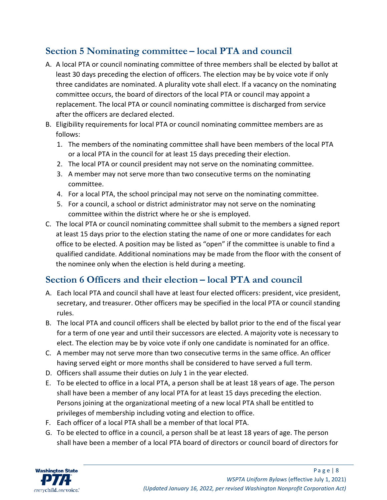## <span id="page-8-0"></span>**Section 5 Nominating committee – local PTA and council**

- A. A local PTA or council nominating committee of three members shall be elected by ballot at least 30 days preceding the election of officers. The election may be by voice vote if only three candidates are nominated. A plurality vote shall elect. If a vacancy on the nominating committee occurs, the board of directors of the local PTA or council may appoint a replacement. The local PTA or council nominating committee is discharged from service after the officers are declared elected.
- B. Eligibility requirements for local PTA or council nominating committee members are as follows:
	- 1. The members of the nominating committee shall have been members of the local PTA or a local PTA in the council for at least 15 days preceding their election.
	- 2. The local PTA or council president may not serve on the nominating committee.
	- 3. A member may not serve more than two consecutive terms on the nominating committee.
	- 4. For a local PTA, the school principal may not serve on the nominating committee.
	- 5. For a council, a school or district administrator may not serve on the nominating committee within the district where he or she is employed.
- C. The local PTA or council nominating committee shall submit to the members a signed report at least 15 days prior to the election stating the name of one or more candidates for each office to be elected. A position may be listed as "open" if the committee is unable to find a qualified candidate. Additional nominations may be made from the floor with the consent of the nominee only when the election is held during a meeting.

## <span id="page-8-1"></span>**Section 6 Officers and their election – local PTA and council**

- A. Each local PTA and council shall have at least four elected officers: president, vice president, secretary, and treasurer. Other officers may be specified in the local PTA or council standing rules.
- B. The local PTA and council officers shall be elected by ballot prior to the end of the fiscal year for a term of one year and until their successors are elected. A majority vote is necessary to elect. The election may be by voice vote if only one candidate is nominated for an office.
- C. A member may not serve more than two consecutive terms in the same office. An officer having served eight or more months shall be considered to have served a full term.
- D. Officers shall assume their duties on July 1 in the year elected.
- E. To be elected to office in a local PTA, a person shall be at least 18 years of age. The person shall have been a member of any local PTA for at least 15 days preceding the election. Persons joining at the organizational meeting of a new local PTA shall be entitled to privileges of membership including voting and election to office.
- F. Each officer of a local PTA shall be a member of that local PTA.
- G. To be elected to office in a council, a person shall be at least 18 years of age. The person shall have been a member of a local PTA board of directors or council board of directors for

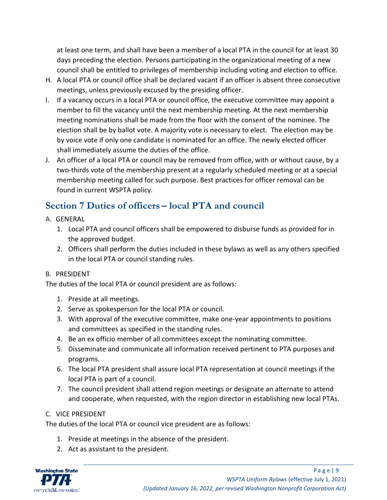at least one term, and shall have been a member of a local PTA in the council for at least 30 days preceding the election. Persons participating in the organizational meeting of a new council shall be entitled to privileges of membership including voting and election to office.

- H. A local PTA or council office shall be declared vacant if an officer is absent three consecutive meetings, unless previously excused by the presiding officer.
- I. If a vacancy occurs in a local PTA or council office, the executive committee may appoint a member to fill the vacancy until the next membership meeting. At the next membership meeting nominations shall be made from the floor with the consent of the nominee. The election shall be by ballot vote. A majority vote is necessary to elect. The election may be by voice vote if only one candidate is nominated for an office. The newly elected officer shall immediately assume the duties of the office.
- J. An officer of a local PTA or council may be removed from office, with or without cause, by a two-thirds vote of the membership present at a regularly scheduled meeting or at a special membership meeting called for such purpose. Best practices for officer removal can be found in current WSPTA policy.

## <span id="page-9-0"></span>**Section 7 Duties of officers – local PTA and council**

- A. GENERAL
	- 1. Local PTA and council officers shall be empowered to disburse funds as provided for in the approved budget.
	- 2. Officers shall perform the duties included in these bylaws as well as any others specified in the local PTA or council standing rules.

#### B. PRESIDENT

The duties of the local PTA or council president are as follows:

- 1. Preside at all meetings.
- 2. Serve as spokesperson for the local PTA or council.
- 3. With approval of the executive committee, make one-year appointments to positions and committees as specified in the standing rules.
- 4. Be an ex officio member of all committees except the nominating committee.
- 5. Disseminate and communicate all information received pertinent to PTA purposes and programs.
- 6. The local PTA president shall assure local PTA representation at council meetings if the local PTA is part of a council.
- 7. The council president shall attend region meetings or designate an alternate to attend and cooperate, when requested, with the region director in establishing new local PTAs.

#### C. VICE PRESIDENT

The duties of the local PTA or council vice president are as follows:

- 1. Preside at meetings in the absence of the president.
- 2. Act as assistant to the president.

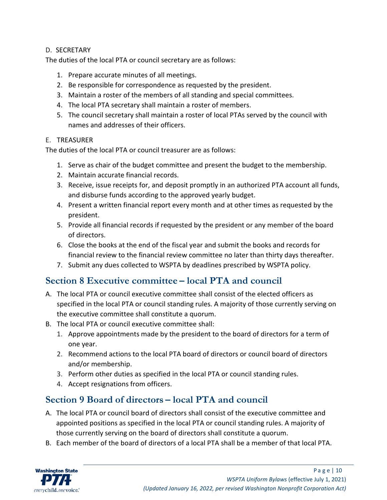#### D. SECRETARY

The duties of the local PTA or council secretary are as follows:

- 1. Prepare accurate minutes of all meetings.
- 2. Be responsible for correspondence as requested by the president.
- 3. Maintain a roster of the members of all standing and special committees.
- 4. The local PTA secretary shall maintain a roster of members.
- 5. The council secretary shall maintain a roster of local PTAs served by the council with names and addresses of their officers.

#### E. TREASURER

The duties of the local PTA or council treasurer are as follows:

- 1. Serve as chair of the budget committee and present the budget to the membership.
- 2. Maintain accurate financial records.
- 3. Receive, issue receipts for, and deposit promptly in an authorized PTA account all funds, and disburse funds according to the approved yearly budget.
- 4. Present a written financial report every month and at other times as requested by the president.
- 5. Provide all financial records if requested by the president or any member of the board of directors.
- 6. Close the books at the end of the fiscal year and submit the books and records for financial review to the financial review committee no later than thirty days thereafter.
- 7. Submit any dues collected to WSPTA by deadlines prescribed by WSPTA policy.

#### <span id="page-10-0"></span>**Section 8 Executive committee – local PTA and council**

- A. The local PTA or council executive committee shall consist of the elected officers as specified in the local PTA or council standing rules. A majority of those currently serving on the executive committee shall constitute a quorum.
- B. The local PTA or council executive committee shall:
	- 1. Approve appointments made by the president to the board of directors for a term of one year.
	- 2. Recommend actions to the local PTA board of directors or council board of directors and/or membership.
	- 3. Perform other duties as specified in the local PTA or council standing rules.
	- 4. Accept resignations from officers.

## <span id="page-10-1"></span>**Section 9 Board of directors – local PTA and council**

- A. The local PTA or council board of directors shall consist of the executive committee and appointed positions as specified in the local PTA or council standing rules. A majority of those currently serving on the board of directors shall constitute a quorum.
- B. Each member of the board of directors of a local PTA shall be a member of that local PTA.

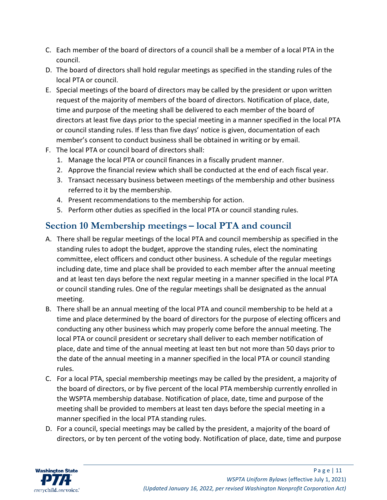- C. Each member of the board of directors of a council shall be a member of a local PTA in the council.
- D. The board of directors shall hold regular meetings as specified in the standing rules of the local PTA or council.
- E. Special meetings of the board of directors may be called by the president or upon written request of the majority of members of the board of directors. Notification of place, date, time and purpose of the meeting shall be delivered to each member of the board of directors at least five days prior to the special meeting in a manner specified in the local PTA or council standing rules. If less than five days' notice is given, documentation of each member's consent to conduct business shall be obtained in writing or by email.
- F. The local PTA or council board of directors shall:
	- 1. Manage the local PTA or council finances in a fiscally prudent manner.
	- 2. Approve the financial review which shall be conducted at the end of each fiscal year.
	- 3. Transact necessary business between meetings of the membership and other business referred to it by the membership.
	- 4. Present recommendations to the membership for action.
	- 5. Perform other duties as specified in the local PTA or council standing rules.

#### <span id="page-11-0"></span>**Section 10 Membership meetings – local PTA and council**

- A. There shall be regular meetings of the local PTA and council membership as specified in the standing rules to adopt the budget, approve the standing rules, elect the nominating committee, elect officers and conduct other business. A schedule of the regular meetings including date, time and place shall be provided to each member after the annual meeting and at least ten days before the next regular meeting in a manner specified in the local PTA or council standing rules. One of the regular meetings shall be designated as the annual meeting.
- B. There shall be an annual meeting of the local PTA and council membership to be held at a time and place determined by the board of directors for the purpose of electing officers and conducting any other business which may properly come before the annual meeting. The local PTA or council president or secretary shall deliver to each member notification of place, date and time of the annual meeting at least ten but not more than 50 days prior to the date of the annual meeting in a manner specified in the local PTA or council standing rules.
- C. For a local PTA, special membership meetings may be called by the president, a majority of the board of directors, or by five percent of the local PTA membership currently enrolled in the WSPTA membership database. Notification of place, date, time and purpose of the meeting shall be provided to members at least ten days before the special meeting in a manner specified in the local PTA standing rules.
- D. For a council, special meetings may be called by the president, a majority of the board of directors, or by ten percent of the voting body. Notification of place, date, time and purpose

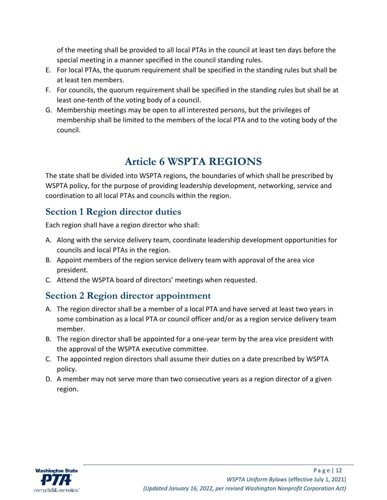of the meeting shall be provided to all local PTAs in the council at least ten days before the special meeting in a manner specified in the council standing rules.

- E. For local PTAs, the quorum requirement shall be specified in the standing rules but shall be at least ten members.
- F. For councils, the quorum requirement shall be specified in the standing rules but shall be at least one-tenth of the voting body of a council.
- G. Membership meetings may be open to all interested persons, but the privileges of membership shall be limited to the members of the local PTA and to the voting body of the council.

# **Article 6 WSPTA REGIONS**

<span id="page-12-0"></span>The state shall be divided into WSPTA regions, the boundaries of which shall be prescribed by WSPTA policy, for the purpose of providing leadership development, networking, service and coordination to all local PTAs and councils within the region.

## <span id="page-12-1"></span>**Section 1 Region director duties**

Each region shall have a region director who shall:

- A. Along with the service delivery team, coordinate leadership development opportunities for councils and local PTAs in the region.
- B. Appoint members of the region service delivery team with approval of the area vice president.
- C. Attend the WSPTA board of directors' meetings when requested.

## <span id="page-12-2"></span>**Section 2 Region director appointment**

- A. The region director shall be a member of a local PTA and have served at least two years in some combination as a local PTA or council officer and/or as a region service delivery team member.
- B. The region director shall be appointed for a one-year term by the area vice president with the approval of the WSPTA executive committee.
- C. The appointed region directors shall assume their duties on a date prescribed by WSPTA policy.
- D. A member may not serve more than two consecutive years as a region director of a given region.

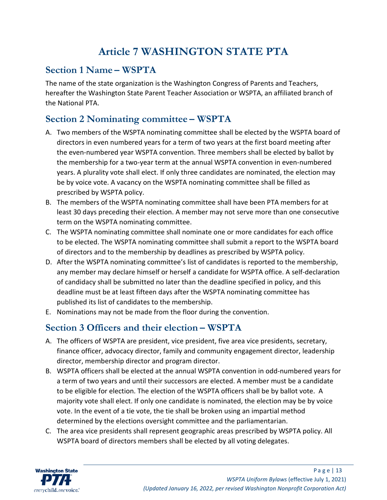# **Article 7 WASHINGTON STATE PTA**

#### <span id="page-13-1"></span><span id="page-13-0"></span>**Section 1 Name – WSPTA**

The name of the state organization is the Washington Congress of Parents and Teachers, hereafter the Washington State Parent Teacher Association or WSPTA, an affiliated branch of the National PTA.

## <span id="page-13-2"></span>**Section 2 Nominating committee – WSPTA**

- A. Two members of the WSPTA nominating committee shall be elected by the WSPTA board of directors in even numbered years for a term of two years at the first board meeting after the even-numbered year WSPTA convention. Three members shall be elected by ballot by the membership for a two-year term at the annual WSPTA convention in even-numbered years. A plurality vote shall elect. If only three candidates are nominated, the election may be by voice vote. A vacancy on the WSPTA nominating committee shall be filled as prescribed by WSPTA policy.
- B. The members of the WSPTA nominating committee shall have been PTA members for at least 30 days preceding their election. A member may not serve more than one consecutive term on the WSPTA nominating committee.
- C. The WSPTA nominating committee shall nominate one or more candidates for each office to be elected. The WSPTA nominating committee shall submit a report to the WSPTA board of directors and to the membership by deadlines as prescribed by WSPTA policy.
- D. After the WSPTA nominating committee's list of candidates is reported to the membership, any member may declare himself or herself a candidate for WSPTA office. A self-declaration of candidacy shall be submitted no later than the deadline specified in policy, and this deadline must be at least fifteen days after the WSPTA nominating committee has published its list of candidates to the membership.
- E. Nominations may not be made from the floor during the convention.

#### <span id="page-13-3"></span>**Section 3 Officers and their election – WSPTA**

- A. The officers of WSPTA are president, vice president, five area vice presidents, secretary, finance officer, advocacy director, family and community engagement director, leadership director, membership director and program director.
- B. WSPTA officers shall be elected at the annual WSPTA convention in odd-numbered years for a term of two years and until their successors are elected. A member must be a candidate to be eligible for election. The election of the WSPTA officers shall be by ballot vote. A majority vote shall elect. If only one candidate is nominated, the election may be by voice vote. In the event of a tie vote, the tie shall be broken using an impartial method determined by the elections oversight committee and the parliamentarian.
- C. The area vice presidents shall represent geographic areas prescribed by WSPTA policy. All WSPTA board of directors members shall be elected by all voting delegates.

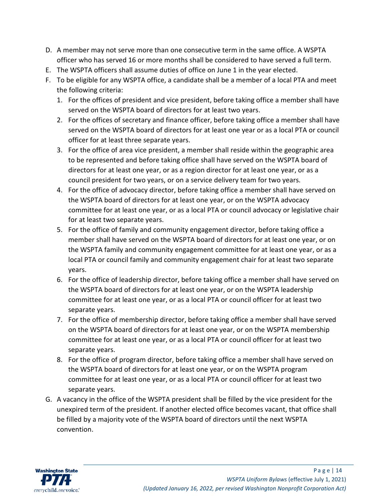- D. A member may not serve more than one consecutive term in the same office. A WSPTA officer who has served 16 or more months shall be considered to have served a full term.
- E. The WSPTA officers shall assume duties of office on June 1 in the year elected.
- F. To be eligible for any WSPTA office, a candidate shall be a member of a local PTA and meet the following criteria:
	- 1. For the offices of president and vice president, before taking office a member shall have served on the WSPTA board of directors for at least two years.
	- 2. For the offices of secretary and finance officer, before taking office a member shall have served on the WSPTA board of directors for at least one year or as a local PTA or council officer for at least three separate years.
	- 3. For the office of area vice president, a member shall reside within the geographic area to be represented and before taking office shall have served on the WSPTA board of directors for at least one year, or as a region director for at least one year, or as a council president for two years, or on a service delivery team for two years.
	- 4. For the office of advocacy director, before taking office a member shall have served on the WSPTA board of directors for at least one year, or on the WSPTA advocacy committee for at least one year, or as a local PTA or council advocacy or legislative chair for at least two separate years.
	- 5. For the office of family and community engagement director, before taking office a member shall have served on the WSPTA board of directors for at least one year, or on the WSPTA family and community engagement committee for at least one year, or as a local PTA or council family and community engagement chair for at least two separate years.
	- 6. For the office of leadership director, before taking office a member shall have served on the WSPTA board of directors for at least one year, or on the WSPTA leadership committee for at least one year, or as a local PTA or council officer for at least two separate years.
	- 7. For the office of membership director, before taking office a member shall have served on the WSPTA board of directors for at least one year, or on the WSPTA membership committee for at least one year, or as a local PTA or council officer for at least two separate years.
	- 8. For the office of program director, before taking office a member shall have served on the WSPTA board of directors for at least one year, or on the WSPTA program committee for at least one year, or as a local PTA or council officer for at least two separate years.
- G. A vacancy in the office of the WSPTA president shall be filled by the vice president for the unexpired term of the president. If another elected office becomes vacant, that office shall be filled by a majority vote of the WSPTA board of directors until the next WSPTA convention.

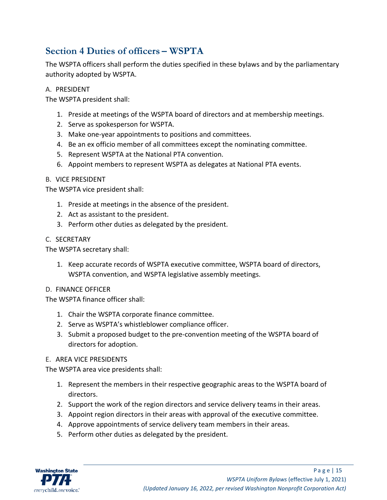#### <span id="page-15-0"></span>**Section 4 Duties of officers – WSPTA**

The WSPTA officers shall perform the duties specified in these bylaws and by the parliamentary authority adopted by WSPTA.

#### A. PRESIDENT

The WSPTA president shall:

- 1. Preside at meetings of the WSPTA board of directors and at membership meetings.
- 2. Serve as spokesperson for WSPTA.
- 3. Make one-year appointments to positions and committees.
- 4. Be an ex officio member of all committees except the nominating committee.
- 5. Represent WSPTA at the National PTA convention.
- 6. Appoint members to represent WSPTA as delegates at National PTA events.

#### B. VICE PRESIDENT

The WSPTA vice president shall:

- 1. Preside at meetings in the absence of the president.
- 2. Act as assistant to the president.
- 3. Perform other duties as delegated by the president.

#### C. SECRETARY

The WSPTA secretary shall:

1. Keep accurate records of WSPTA executive committee, WSPTA board of directors, WSPTA convention, and WSPTA legislative assembly meetings.

#### D. FINANCE OFFICER

The WSPTA finance officer shall:

- 1. Chair the WSPTA corporate finance committee.
- 2. Serve as WSPTA's whistleblower compliance officer.
- 3. Submit a proposed budget to the pre-convention meeting of the WSPTA board of directors for adoption.

#### E. AREA VICE PRESIDENTS

The WSPTA area vice presidents shall:

- 1. Represent the members in their respective geographic areas to the WSPTA board of directors.
- 2. Support the work of the region directors and service delivery teams in their areas.
- 3. Appoint region directors in their areas with approval of the executive committee.
- 4. Approve appointments of service delivery team members in their areas.
- 5. Perform other duties as delegated by the president.

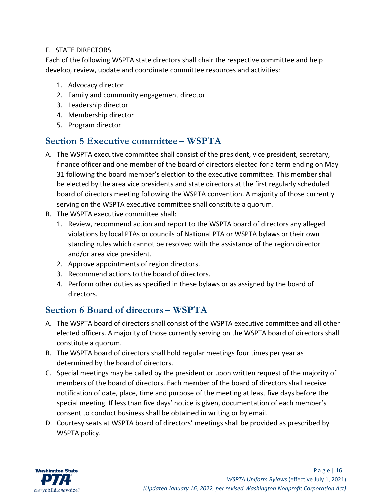#### F. STATE DIRECTORS

Each of the following WSPTA state directors shall chair the respective committee and help develop, review, update and coordinate committee resources and activities:

- 1. Advocacy director
- 2. Family and community engagement director
- 3. Leadership director
- 4. Membership director
- 5. Program director

#### <span id="page-16-0"></span>**Section 5 Executive committee – WSPTA**

- A. The WSPTA executive committee shall consist of the president, vice president, secretary, finance officer and one member of the board of directors elected for a term ending on May 31 following the board member's election to the executive committee. This member shall be elected by the area vice presidents and state directors at the first regularly scheduled board of directors meeting following the WSPTA convention. A majority of those currently serving on the WSPTA executive committee shall constitute a quorum.
- B. The WSPTA executive committee shall:
	- 1. Review, recommend action and report to the WSPTA board of directors any alleged violations by local PTAs or councils of National PTA or WSPTA bylaws or their own standing rules which cannot be resolved with the assistance of the region director and/or area vice president.
	- 2. Approve appointments of region directors.
	- 3. Recommend actions to the board of directors.
	- 4. Perform other duties as specified in these bylaws or as assigned by the board of directors.

#### <span id="page-16-1"></span>**Section 6 Board of directors – WSPTA**

- A. The WSPTA board of directors shall consist of the WSPTA executive committee and all other elected officers. A majority of those currently serving on the WSPTA board of directors shall constitute a quorum.
- B. The WSPTA board of directors shall hold regular meetings four times per year as determined by the board of directors.
- C. Special meetings may be called by the president or upon written request of the majority of members of the board of directors. Each member of the board of directors shall receive notification of date, place, time and purpose of the meeting at least five days before the special meeting. If less than five days' notice is given, documentation of each member's consent to conduct business shall be obtained in writing or by email.
- D. Courtesy seats at WSPTA board of directors' meetings shall be provided as prescribed by WSPTA policy.

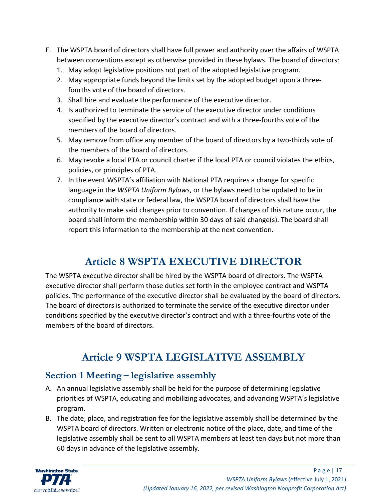- E. The WSPTA board of directors shall have full power and authority over the affairs of WSPTA between conventions except as otherwise provided in these bylaws. The board of directors:
	- 1. May adopt legislative positions not part of the adopted legislative program.
	- 2. May appropriate funds beyond the limits set by the adopted budget upon a threefourths vote of the board of directors.
	- 3. Shall hire and evaluate the performance of the executive director.
	- 4. Is authorized to terminate the service of the executive director under conditions specified by the executive director's contract and with a three-fourths vote of the members of the board of directors.
	- 5. May remove from office any member of the board of directors by a two-thirds vote of the members of the board of directors.
	- 6. May revoke a local PTA or council charter if the local PTA or council violates the ethics, policies, or principles of PTA.
	- 7. In the event WSPTA's affiliation with National PTA requires a change for specific language in the *WSPTA Uniform Bylaws*, or the bylaws need to be updated to be in compliance with state or federal law, the WSPTA board of directors shall have the authority to make said changes prior to convention. If changes of this nature occur, the board shall inform the membership within 30 days of said change(s). The board shall report this information to the membership at the next convention.

# **Article 8 WSPTA EXECUTIVE DIRECTOR**

<span id="page-17-0"></span>The WSPTA executive director shall be hired by the WSPTA board of directors. The WSPTA executive director shall perform those duties set forth in the employee contract and WSPTA policies. The performance of the executive director shall be evaluated by the board of directors. The board of directors is authorized to terminate the service of the executive director under conditions specified by the executive director's contract and with a three-fourths vote of the members of the board of directors.

# **Article 9 WSPTA LEGISLATIVE ASSEMBLY**

## <span id="page-17-2"></span><span id="page-17-1"></span>**Section 1 Meeting – legislative assembly**

- A. An annual legislative assembly shall be held for the purpose of determining legislative priorities of WSPTA, educating and mobilizing advocates, and advancing WSPTA's legislative program.
- B. The date, place, and registration fee for the legislative assembly shall be determined by the WSPTA board of directors. Written or electronic notice of the place, date, and time of the legislative assembly shall be sent to all WSPTA members at least ten days but not more than 60 days in advance of the legislative assembly.

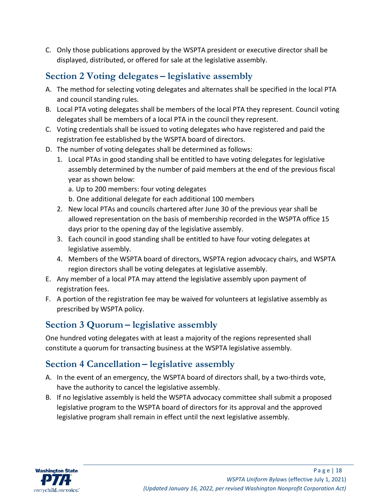C. Only those publications approved by the WSPTA president or executive director shall be displayed, distributed, or offered for sale at the legislative assembly.

## <span id="page-18-0"></span>**Section 2 Voting delegates – legislative assembly**

- A. The method for selecting voting delegates and alternates shall be specified in the local PTA and council standing rules.
- B. Local PTA voting delegates shall be members of the local PTA they represent. Council voting delegates shall be members of a local PTA in the council they represent.
- C. Voting credentials shall be issued to voting delegates who have registered and paid the registration fee established by the WSPTA board of directors.
- D. The number of voting delegates shall be determined as follows:
	- 1. Local PTAs in good standing shall be entitled to have voting delegates for legislative assembly determined by the number of paid members at the end of the previous fiscal year as shown below:
		- a. Up to 200 members: four voting delegates
		- b. One additional delegate for each additional 100 members
	- 2. New local PTAs and councils chartered after June 30 of the previous year shall be allowed representation on the basis of membership recorded in the WSPTA office 15 days prior to the opening day of the legislative assembly.
	- 3. Each council in good standing shall be entitled to have four voting delegates at legislative assembly.
	- 4. Members of the WSPTA board of directors, WSPTA region advocacy chairs, and WSPTA region directors shall be voting delegates at legislative assembly.
- E. Any member of a local PTA may attend the legislative assembly upon payment of registration fees.
- F. A portion of the registration fee may be waived for volunteers at legislative assembly as prescribed by WSPTA policy.

## <span id="page-18-1"></span>**Section 3 Quorum – legislative assembly**

One hundred voting delegates with at least a majority of the regions represented shall constitute a quorum for transacting business at the WSPTA legislative assembly.

## <span id="page-18-2"></span>**Section 4 Cancellation – legislative assembly**

- A. In the event of an emergency, the WSPTA board of directors shall, by a two-thirds vote, have the authority to cancel the legislative assembly.
- B. If no legislative assembly is held the WSPTA advocacy committee shall submit a proposed legislative program to the WSPTA board of directors for its approval and the approved legislative program shall remain in effect until the next legislative assembly.

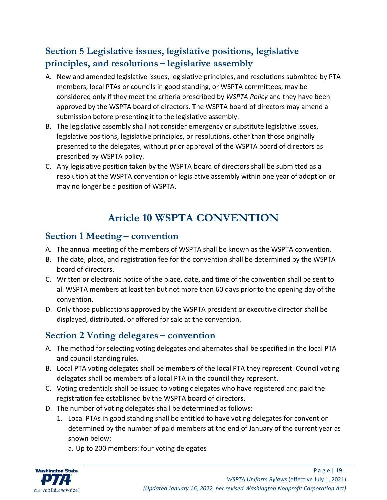## <span id="page-19-0"></span>**Section 5 Legislative issues, legislative positions, legislative principles, and resolutions – legislative assembly**

- A. New and amended legislative issues, legislative principles, and resolutions submitted by PTA members, local PTAs or councils in good standing, or WSPTA committees, may be considered only if they meet the criteria prescribed by *WSPTA Policy* and they have been approved by the WSPTA board of directors. The WSPTA board of directors may amend a submission before presenting it to the legislative assembly.
- B. The legislative assembly shall not consider emergency or substitute legislative issues, legislative positions, legislative principles, or resolutions, other than those originally presented to the delegates, without prior approval of the WSPTA board of directors as prescribed by WSPTA policy.
- C. Any legislative position taken by the WSPTA board of directors shall be submitted as a resolution at the WSPTA convention or legislative assembly within one year of adoption or may no longer be a position of WSPTA.

# **Article 10 WSPTA CONVENTION**

#### <span id="page-19-2"></span><span id="page-19-1"></span>**Section 1 Meeting – convention**

- A. The annual meeting of the members of WSPTA shall be known as the WSPTA convention.
- B. The date, place, and registration fee for the convention shall be determined by the WSPTA board of directors.
- C. Written or electronic notice of the place, date, and time of the convention shall be sent to all WSPTA members at least ten but not more than 60 days prior to the opening day of the convention.
- D. Only those publications approved by the WSPTA president or executive director shall be displayed, distributed, or offered for sale at the convention.

## <span id="page-19-3"></span>**Section 2 Voting delegates – convention**

- A. The method for selecting voting delegates and alternates shall be specified in the local PTA and council standing rules.
- B. Local PTA voting delegates shall be members of the local PTA they represent. Council voting delegates shall be members of a local PTA in the council they represent.
- C. Voting credentials shall be issued to voting delegates who have registered and paid the registration fee established by the WSPTA board of directors.
- D. The number of voting delegates shall be determined as follows:
	- 1. Local PTAs in good standing shall be entitled to have voting delegates for convention determined by the number of paid members at the end of January of the current year as shown below:
		- a. Up to 200 members: four voting delegates

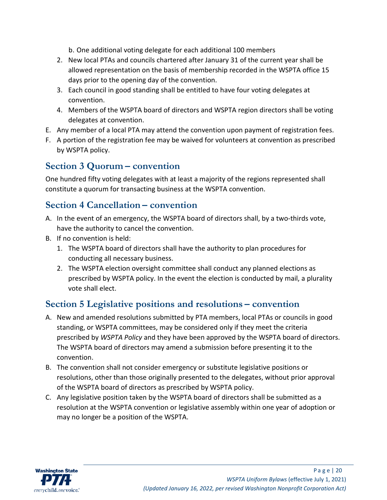b. One additional voting delegate for each additional 100 members

- 2. New local PTAs and councils chartered after January 31 of the current year shall be allowed representation on the basis of membership recorded in the WSPTA office 15 days prior to the opening day of the convention.
- 3. Each council in good standing shall be entitled to have four voting delegates at convention.
- 4. Members of the WSPTA board of directors and WSPTA region directors shall be voting delegates at convention.
- E. Any member of a local PTA may attend the convention upon payment of registration fees.
- F. A portion of the registration fee may be waived for volunteers at convention as prescribed by WSPTA policy.

#### <span id="page-20-0"></span>**Section 3 Quorum – convention**

One hundred fifty voting delegates with at least a majority of the regions represented shall constitute a quorum for transacting business at the WSPTA convention.

#### <span id="page-20-1"></span>**Section 4 Cancellation – convention**

- A. In the event of an emergency, the WSPTA board of directors shall, by a two-thirds vote, have the authority to cancel the convention.
- B. If no convention is held:
	- 1. The WSPTA board of directors shall have the authority to plan procedures for conducting all necessary business.
	- 2. The WSPTA election oversight committee shall conduct any planned elections as prescribed by WSPTA policy. In the event the election is conducted by mail, a plurality vote shall elect.

#### <span id="page-20-2"></span>**Section 5 Legislative positions and resolutions – convention**

- A. New and amended resolutions submitted by PTA members, local PTAs or councils in good standing, or WSPTA committees, may be considered only if they meet the criteria prescribed by *WSPTA Policy* and they have been approved by the WSPTA board of directors. The WSPTA board of directors may amend a submission before presenting it to the convention.
- B. The convention shall not consider emergency or substitute legislative positions or resolutions, other than those originally presented to the delegates, without prior approval of the WSPTA board of directors as prescribed by WSPTA policy.
- C. Any legislative position taken by the WSPTA board of directors shall be submitted as a resolution at the WSPTA convention or legislative assembly within one year of adoption or may no longer be a position of the WSPTA.